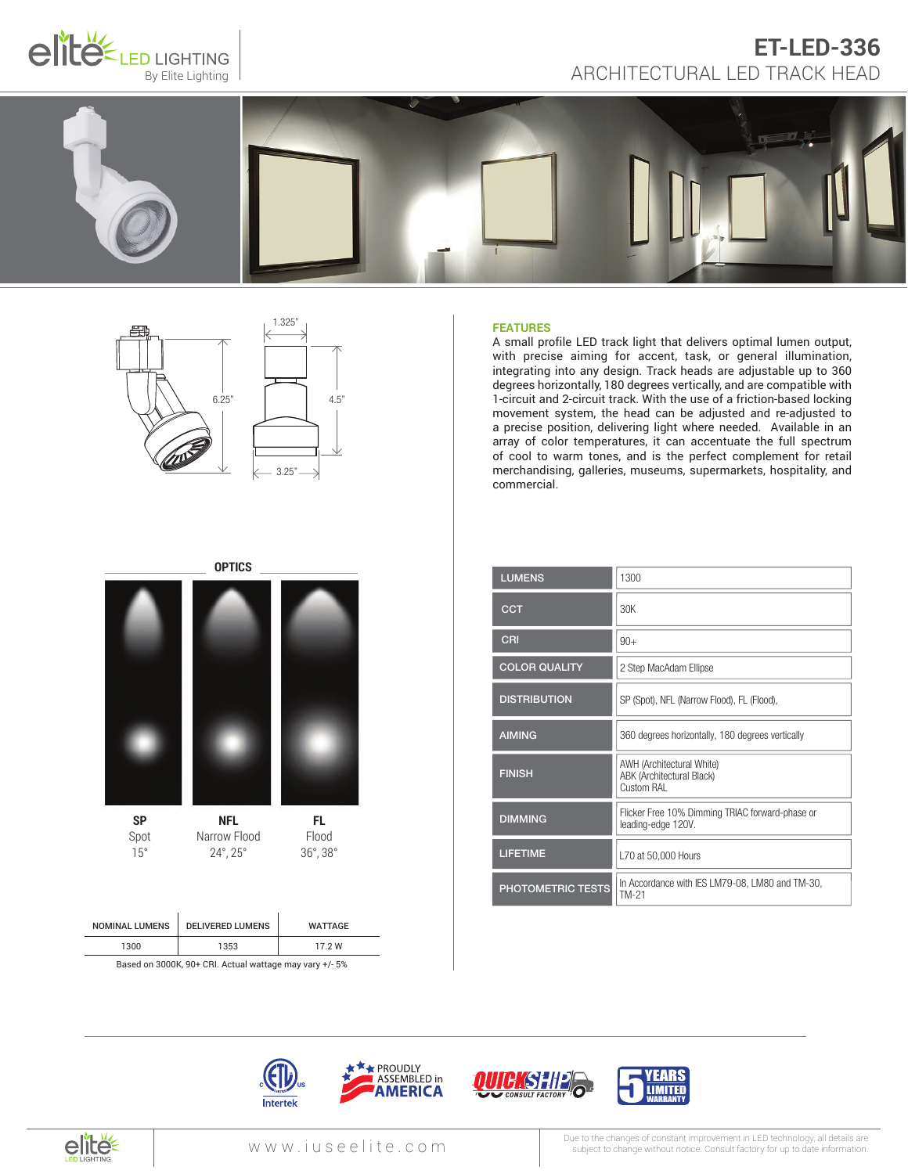

# ET-LED-336<br>By Elite Lighting ARCHITECTURAL LED TRACK HEAD **ET-LED-336**





# **FEATURES**

A small profile LED track light that delivers optimal lumen output, with precise aiming for accent, task, or general illumination, integrating into any design. Track heads are adjustable up to 360 degrees horizontally, 180 degrees vertically, and are compatible with 1-circuit and 2-circuit track. With the use of a friction-based locking movement system, the head can be adjusted and re-adjusted to a precise position, delivering light where needed. Available in an array of color temperatures, it can accentuate the full spectrum of cool to warm tones, and is the perfect complement for retail merchandising, galleries, museums, supermarkets, hospitality, and commercial.

| <b>LUMENS</b>            | 1300                                                                  |
|--------------------------|-----------------------------------------------------------------------|
| <b>CCT</b>               | 30K                                                                   |
| CRI                      | $90+$                                                                 |
| <b>COLOR QUALITY</b>     | 2 Step MacAdam Ellipse                                                |
| <b>DISTRIBUTION</b>      | SP (Spot), NFL (Narrow Flood), FL (Flood),                            |
| <b>AIMING</b>            | 360 degrees horizontally, 180 degrees vertically                      |
| <b>FINISH</b>            | AWH (Architectural White)<br>ABK (Architectural Black)<br>Custom RAI  |
| <b>DIMMING</b>           | Flicker Free 10% Dimming TRIAC forward-phase or<br>leading-edge 120V. |
| <b>LIFETIME</b>          | L70 at 50,000 Hours                                                   |
| <b>PHOTOMETRIC TESTS</b> | In Accordance with IES LM79-08, LM80 and TM-30,<br>TM-21              |



|                        | <b>WATTAGE</b> |
|------------------------|----------------|
| 1300<br>1353<br>17 2 W |                |

Based on 3000K, 90+ CRI. Actual wattage may vary +/- 5%









Intertek

Due to the changes of constant improvement in LED technology, all details are<br>without notice. Consult factory for up to date information.